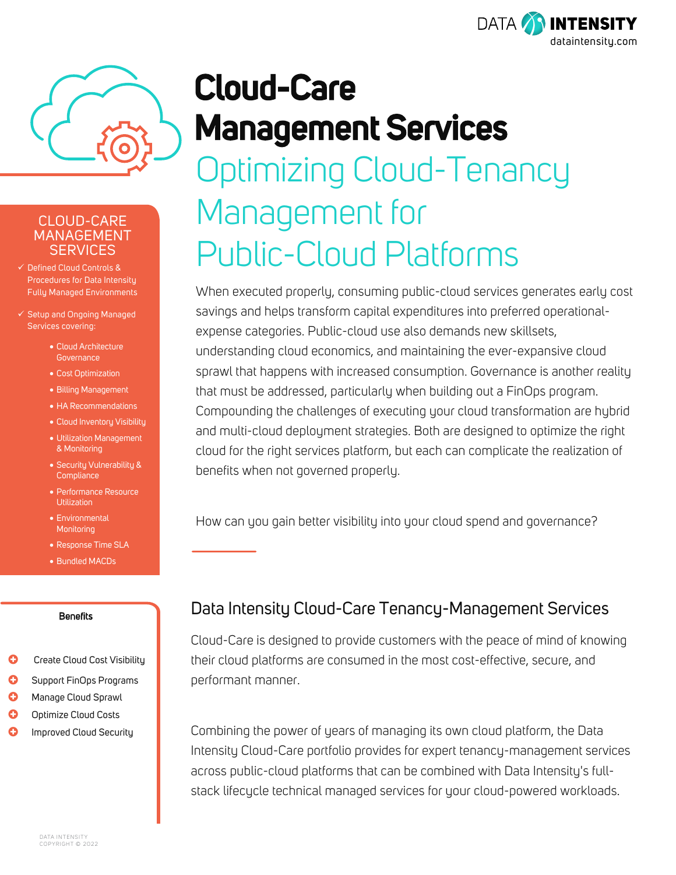



### CLOUD-CARE MANAGEMENT SERVICES

- Defined Cloud Controls & Procedures for Data Intensity Fully Managed Environments
- $\checkmark$  Setup and Ongoing Managed Services covering:
	- Cloud Architecture **Governance**
	- Cost Optimization
	- Billing Management
	- HA Recommendations
	- Cloud Inventory Visibility
	- Utilization Management & Monitoring
	- Security Vulnerability & **Compliance**
	- Performance Resource Utilization
	- Environmental **Monitoring**
	- Response Time SLA
	- Bundled MACDs

#### **Benefits**

- **C** Create Cloud Cost Visibility
- **C** Support FinOps Programs
- **C** Manage Cloud Sprawl
- **O** Optimize Cloud Costs
- **O** Improved Cloud Security

# **Cloud-Care Management Services** Optimizing Cloud-Tenancy Management for Public-Cloud Platforms

When executed properly, consuming public-cloud services generates early cost savings and helps transform capital expenditures into preferred operationalexpense categories. Public-cloud use also demands new skillsets, understanding cloud economics, and maintaining the ever-expansive cloud sprawl that happens with increased consumption. Governance is another reality that must be addressed, particularly when building out a FinOps program. Compounding the challenges of executing your cloud transformation are hybrid and multi-cloud deployment strategies. Both are designed to optimize the right cloud for the right services platform, but each can complicate the realization of benefits when not governed properly.

How can you gain better visibility into your cloud spend and governance?

## Data Intensity Cloud-Care Tenancy-Management Services

Cloud-Care is designed to provide customers with the peace of mind of knowing their cloud platforms are consumed in the most cost-effective, secure, and performant manner.

Combining the power of years of managing its own cloud platform, the Data Intensity Cloud-Care portfolio provides for expert tenancy-management services across public-cloud platforms that can be combined with Data Intensity's fullstack lifecycle technical managed services for your cloud-powered workloads.